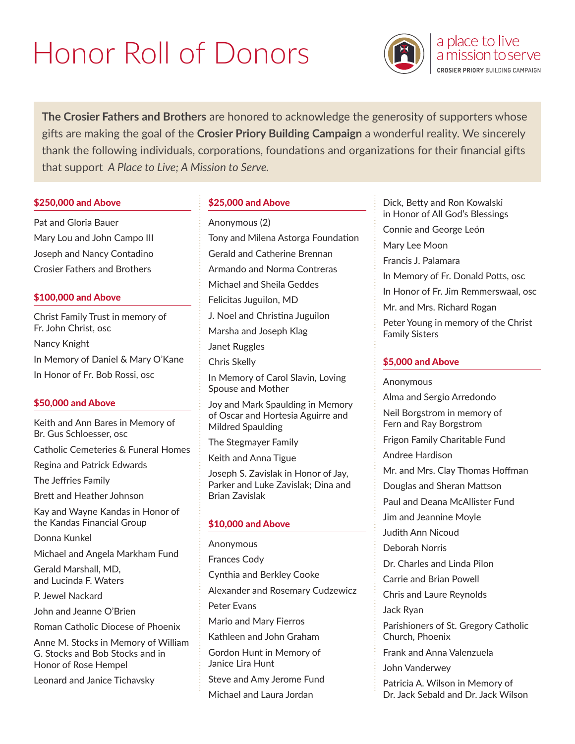# Honor Roll of Donors



a place to live a mission to serve **CROSIER PRIORY BUILDING CAMPAIGN** 

**The Crosier Fathers and Brothers** are honored to acknowledge the generosity of supporters whose gifts are making the goal of the **Crosier Priory Building Campaign** a wonderful reality. We sincerely thank the following individuals, corporations, foundations and organizations for their financial gifts that support *A Place to Live; A Mission to Serve.*

#### \$250,000 and Above

Pat and Gloria Bauer Mary Lou and John Campo III Joseph and Nancy Contadino Crosier Fathers and Brothers

## \$100,000 and Above

Christ Family Trust in memory of Fr. John Christ, osc Nancy Knight In Memory of Daniel & Mary O'Kane In Honor of Fr. Bob Rossi, osc

## \$50,000 and Above

Keith and Ann Bares in Memory of Br. Gus Schloesser, osc Catholic Cemeteries & Funeral Homes

Regina and Patrick Edwards

The Jeffries Family

Brett and Heather Johnson

Kay and Wayne Kandas in Honor of the Kandas Financial Group

Donna Kunkel

Michael and Angela Markham Fund

Gerald Marshall, MD, and Lucinda F. Waters

P. Jewel Nackard

John and Jeanne O'Brien

Roman Catholic Diocese of Phoenix

Anne M. Stocks in Memory of William G. Stocks and Bob Stocks and in Honor of Rose Hempel

Leonard and Janice Tichavsky

## \$25,000 and Above

Anonymous (2) Tony and Milena Astorga Foundation Gerald and Catherine Brennan Armando and Norma Contreras Michael and Sheila Geddes Felicitas Juguilon, MD J. Noel and Christina Juguilon Marsha and Joseph Klag Janet Ruggles Chris Skelly In Memory of Carol Slavin, Loving Spouse and Mother Joy and Mark Spaulding in Memory of Oscar and Hortesia Aguirre and

Mildred Spaulding

The Stegmayer Family

Keith and Anna Tigue

Joseph S. Zavislak in Honor of Jay, Parker and Luke Zavislak; Dina and Brian Zavislak

## \$10,000 and Above

Anonymous Frances Cody Cynthia and Berkley Cooke Alexander and Rosemary Cudzewicz Peter Evans Mario and Mary Fierros Kathleen and John Graham Gordon Hunt in Memory of Janice Lira Hunt Steve and Amy Jerome Fund Michael and Laura Jordan

Dick, Betty and Ron Kowalski in Honor of All God's Blessings Connie and George León Mary Lee Moon Francis J. Palamara In Memory of Fr. Donald Potts, osc In Honor of Fr. Jim Remmerswaal, osc Mr. and Mrs. Richard Rogan Peter Young in memory of the Christ Family Sisters \$5,000 and Above Anonymous Alma and Sergio Arredondo Neil Borgstrom in memory of Fern and Ray Borgstrom Frigon Family Charitable Fund Andree Hardison Mr. and Mrs. Clay Thomas Hoffman Douglas and Sheran Mattson Paul and Deana McAllister Fund Jim and Jeannine Moyle Judith Ann Nicoud Deborah Norris Dr. Charles and Linda Pilon Carrie and Brian Powell Chris and Laure Reynolds Jack Ryan Parishioners of St. Gregory Catholic Church, Phoenix Frank and Anna Valenzuela John Vanderwey Patricia A. Wilson in Memory of Dr. Jack Sebald and Dr. Jack Wilson